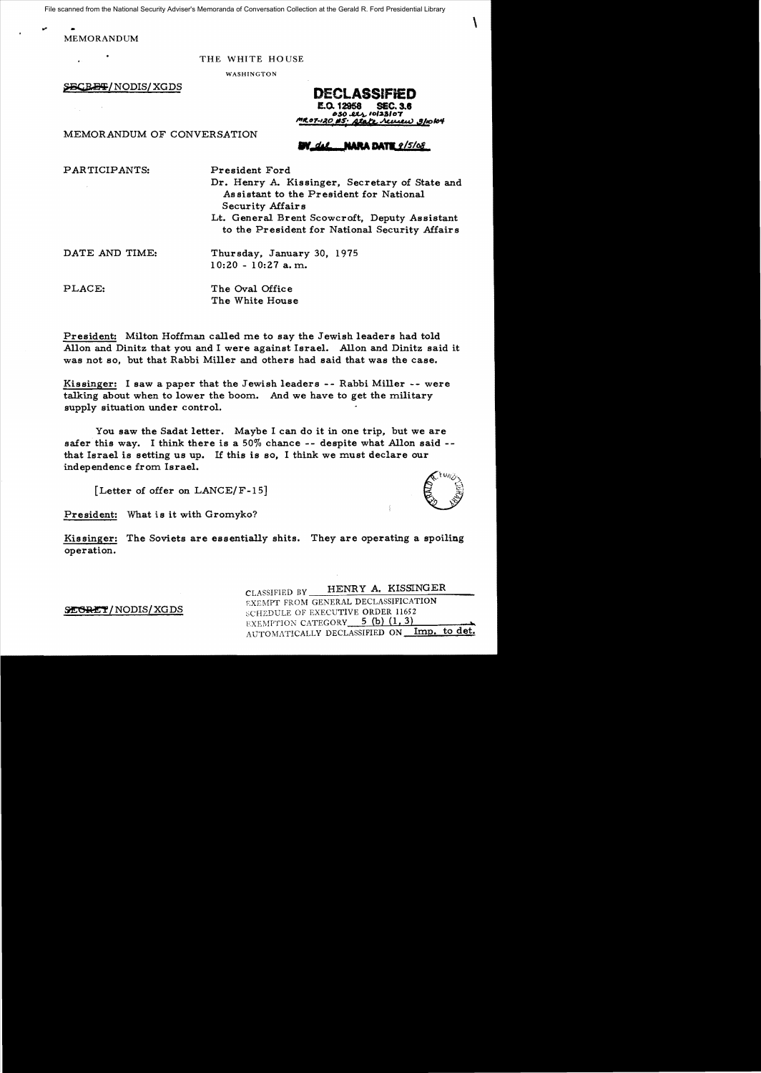File scanned from the National Security Adviser's Memoranda of Conversation Collection at the Gerald R. Ford Presidential Library

MEMORANDUM

THE WHITE HOUSE

WASHINGTON

~/NODIS/XGDS **DECLASSIFieD**  l!.o.12968 SEC. 3.1 *.\$0* 10'2.8'07 Jttc."7-la~"s,· &!'to *,z,v,,,} ,g/IO/1J41*   $\mathbf{I}$ 

MEMORANDUM OF CONVERSATION

**NARA DATE**  $2/5/68$ 

PARTICIPANTS: President Ford

Dr. Henry A. Kissinger, Secretary of State and As sistant to the President for National Security Affairs Lt. General Brent Scowcroft, Deputy Assistant

to the President for National Security Affairs

DATE AND TIME: Thursday, January 30, 1975  $10:20 - 10:27$  a.m.

PLACE: The Oval Office The White House

President: Milton Hoffman called me to say the Jewish leaders had told Allon and Dinitz that you and I were against Israel. Allon and Dinitz said it was not so, but that Rabbi Miller and others had said that was the case.

Kissinger: I saw a paper that the Jewish leaders -- Rabbi Miller -- were talking about when to lower the boom. And we have to get the military supply situation under control.

You saw the Sadat letter. Maybe I can do it in one trip, but we are safer this way. I think there is a 50% chance -- despite what Allon said that Israel is setting us up. If this is so, I think we must declare our independence from Israel.

[Letter of offer on LANCE/F-15]



President: What is it with Gromyko?

Kissinger: The Soviets are essentially shits. They are operating a spoiling operation.

CLASSIFIED BY HENRY A. KISSINGER EXEMPT FROM GENERAL DECLASSIFICATION SEGRET/NODIS/XGDS SCHEDULE OF EXECUTIVE ORDER 11652 EXEMPTION CATEGORY 5 (b) (1, 3) AUTOMATICALLY DECLASSIFIED ON Imp.

 $\frac{1}{\epsilon}$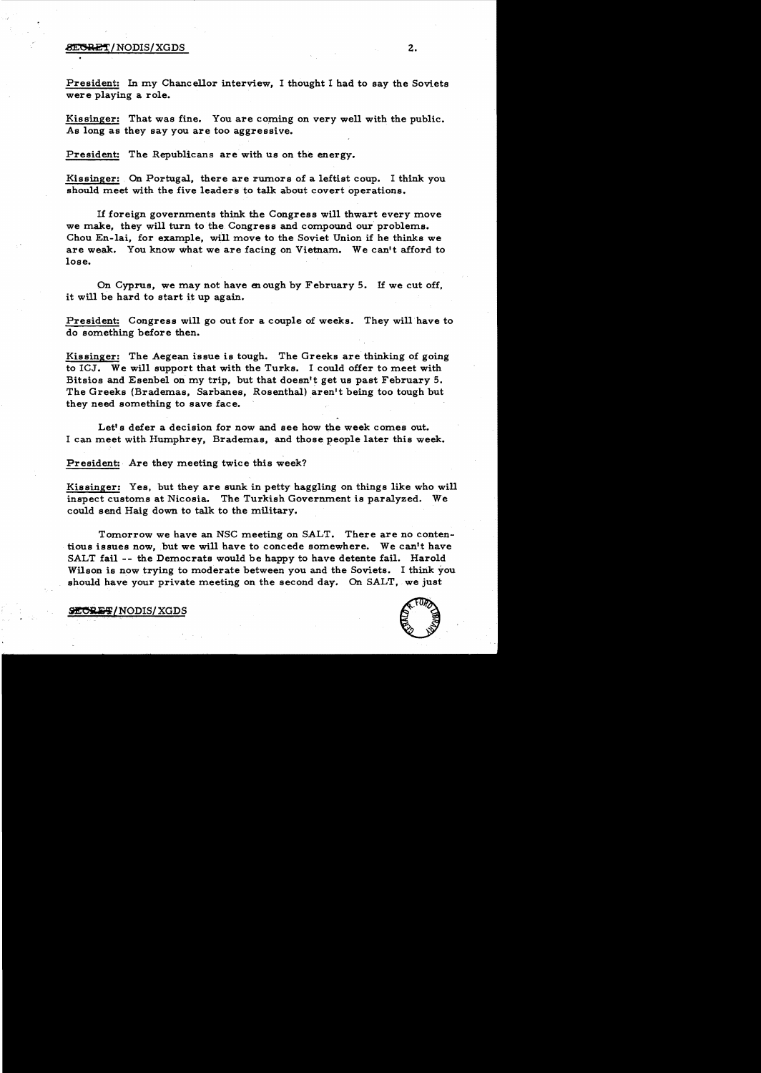## ~/NODIS/XGDS z.

President: In my Chancellor interview, I thought I had to say the Soviets were playing a role.

Kissinger: That was fine. You are coming on very well with the public. As long as they say you are too aggressive.

President: The Republicans are with us on the energy.

Kissinger: On Portugal, there are rumors of a leftist coup. I think you should meet with the five leaders to talk about covert operations.

1£ foreign governments think the Congress will thwart every move we make, they will turn to the Congress and compound our problems. Chou En-lai, for example, will move to the Soviet Union if he thinks we are weak. You know what we are facing on Vietnam. We can't afford to lose.

On Cyprus, we may not have enough by February 5. If we cut off, it will be hard to start it up again.

President: Congress will go out for a couple of weeks. They will have to do something before then.

Kissinger: The Aegean issue is tough. The Greeks are thinking of going to ICJ. We will support that with the Turks. I could offer to meet with Bitsios and Esenbel on my trip. but that doesn't get us past February 5. The Greeks (Brademas, Sarbanes, Rosenthal) aren't being too tough but they need something to save face.

Let's defer a decision for now and see how the week comes out. I can meet with Humphrey, Brademas, and those people later this week.

President: Are they meeting twice this week?

Kissinger: Yes, but they are sunk in petty haggling on things like who will inspect customs at Nicosia. The Turkish Government is paralyzed. We could send Haig down to talk to the military.

Tomorrow we have an NSC meeting on SALT. There are no contentious issues now, but we will have to concede somewhere. We can't have SALT fail -- the Democrats would be happy to have detente fail. Harold Wilson is now trying to moderate between you and the Soviets. I think you should have your private meeting on the second day. On SALT. we just



**EORET/NODIS/XGDS**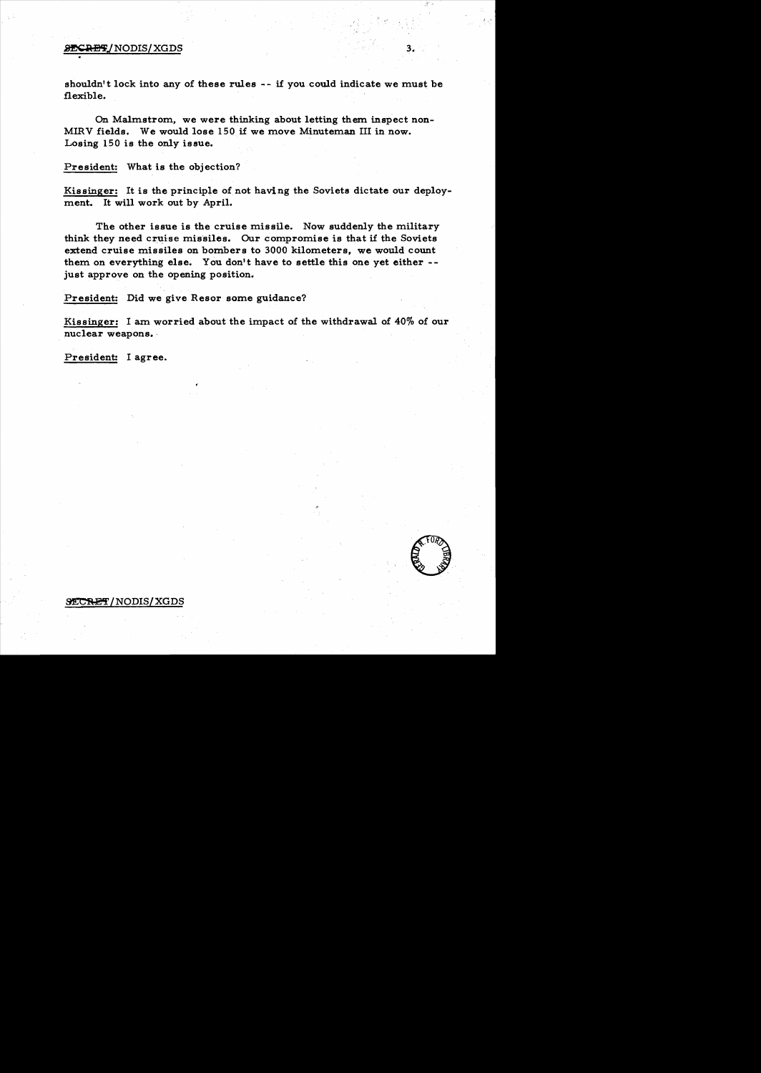## **SECRET/NODIS/XGDS**

shouldn't lock into any of these rules -- if you could indicate we must be flexible.

3.

On Malmstrom, we were thinking about letting them inspect non-MIRV fields. We would lose 150 if we move Minuteman III in now. Losing 150 is the only issue.

President: What is the objection?

Kissinger: It is the principle of not having the Soviets dictate our deployment. It will work out by April.

The other issue is the cruise missile. Now suddenly the military think they need cruise missiles. Our compromise is that if the Soviets extend cruise missiles on bombers to 3000 kilometers, we would count them on everything else. You don't have to settle this one yet either just approve on the opening position.

President: Did we give Resor some guidance?

Kissinger: I am worried about the impact of the withdrawal of 40% of our nuclear weapons.

President: I agree.

## $\tt{SECREF/NODIS/XGDS}$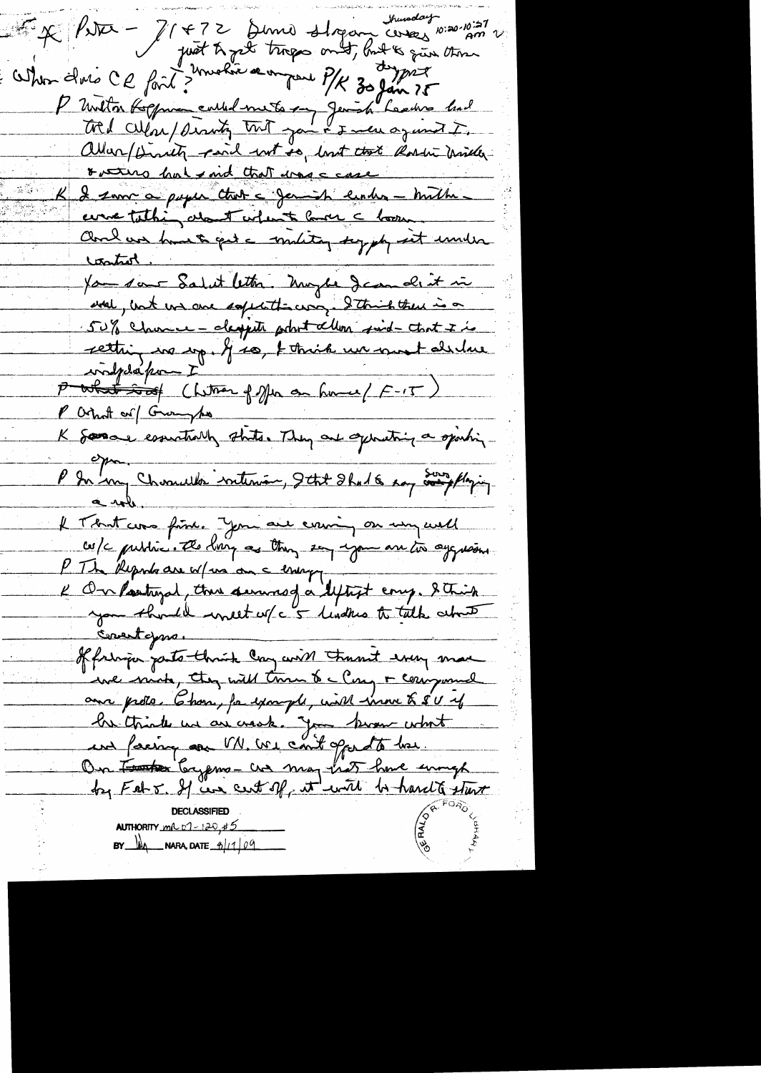sunday poise - Il +72 Denne sligan cerez 10:20-10:27 When the CE fait? motive a on pare P/K 30 fair ?5 P unita Koffman could mets en Jemish Lesdes had tred cilear/dering trit joint & men against. allar/Dirity paid not so, lost took Rosen miller rutus hat ind that was case I same a puper that a family ender - milher come tathing about when to love a boom. Charl vos hust qui a militar supply sit under fan sont Salut lettre. Moybe Jamalit in and, unt un avec safetitioning. I think there is a 50% Chance - despite probot allow sind-that I is rettring in mp. If so, t think we must alidere confedérant" P what so of Chitren of Mr an home (F-15) P Ortholt or Grounds K Somar essuationly state. They are operating a spiriting  $\epsilon$ P In my Charmelle internan, Itat Shal 6 say and playing. Il That was fine. You are coming on un well cos/c public. The borg as they say you are to aggresses you think unest w/c 5 lindhes to talk what of fringen parts think can wish thant was more we mind, they will tran to a Cong + component aux proto. Chan, for example, with inne & SU if bre triate un au croise. Jan branc what und facing on VN. We cont opporto how. On Fater bayerns - and may hat have enough **CERTS AUTHORITY**  $m(0, 0) = 120, 45$  $BY$   $M_A$  NARA, DATE  $B/1/99$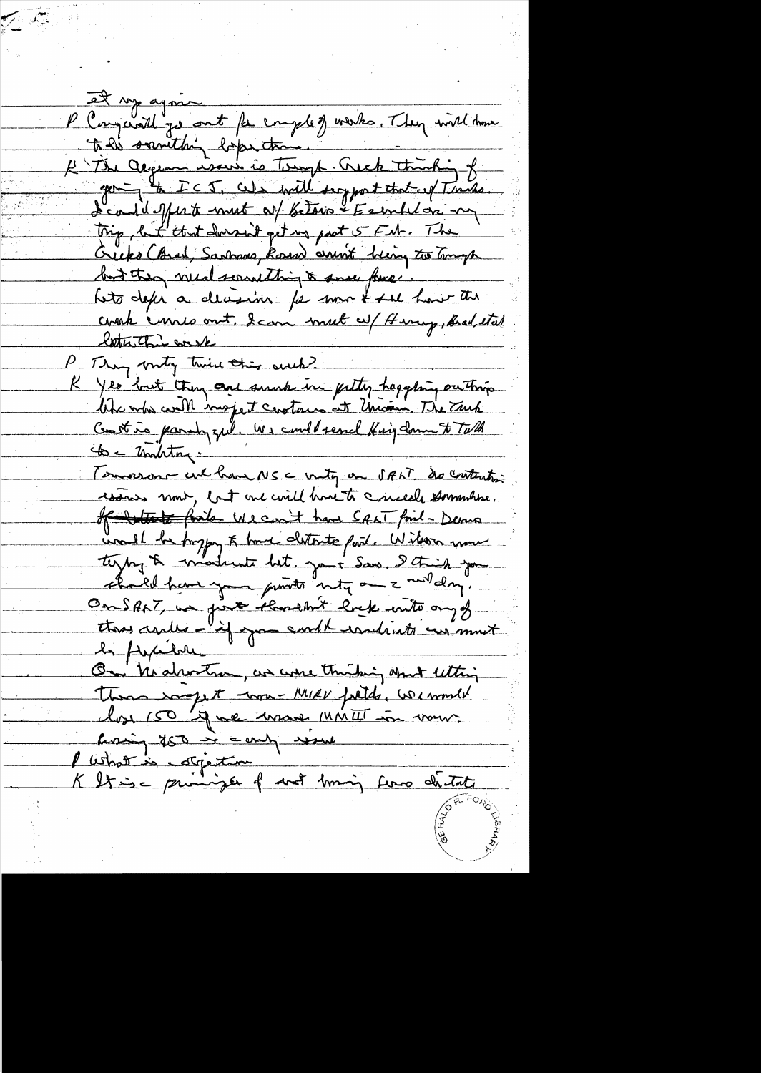et sy agon P Congerail go out for employments. They will have to his sounthing baper than. H The argume wow is Tough. Quick thinking of going to ICJ. We will suggest that up Tracks. L'eau il Ment mest as betoin été en les my Trip, but that dorsait get up past 5 FM. The Greeks (Brul, Sanhamo, Roses) arrivit being to tomogh but they need sound thing & some force. hets defer a decession for some & see how the couch cours out, I can mut a Herry, Bad, etal letter this week P They write twice this ouch? K yes but they are such in futty happing outhing like who will mojet contains at Uncom. The Truck Constitution parchyzell. We could send Hing down to Talk to - montry. Terrorson culhan NSC unity on SALT do content wars nont, but me will have to crucele sommation. of white finite We can't have SALT find- Dema und be brygg & home distoute part. Wilson now shall have you punto noty and and day. One SANT, we find shouldn't lock with any of thos centes - if you and handriats aus most On healwater, we were thinking about letting There was the tome MIRV fields, we would los 150 17 me mare MMII in vous hoing too is comb would l'Ushat is corpetion K It is a principle of wat liming force distate

فتوناكم والأعراض